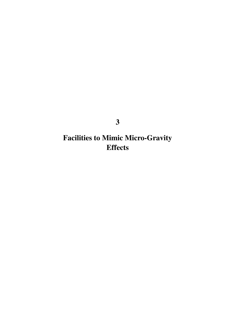**3**

**Facilities to Mimic Micro-Gravity Effects**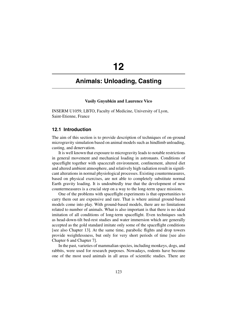# **12**

# **Animals: Unloading, Casting**

### **Vasily Gnyubkin and Laurence Vico**

INSERM U1059, LBTO, Faculty of Medicine, University of Lyon, Saint-Etienne, France

## **12.1 Introduction**

The aim of this section is to provide description of techniques of on-ground microgravity simulation based on animal models such as hindlimb unloading, casting, and denervation.

It is well known that exposure to microgravity leads to notable restrictions in general movement and mechanical loading in astronauts. Conditions of spaceflight together with spacecraft environment, confinement, altered diet and altered ambient atmosphere, and relatively high radiation result in significant alterations in normal physiological processes. Existing countermeasures, based on physical exercises, are not able to completely substitute normal Earth gravity loading. It is undoubtedly true that the development of new countermeasures is a crucial step on a way to the long-term space missions.

One of the problems with spaceflight experiments is that opportunities to carry them out are expensive and rare. That is where animal ground-based models come into play. With ground-based models, there are no limitations related to number of animals. What is also important is that there is no ideal imitation of all conditions of long-term spaceflight. Even techniques such as head-down-tilt bed-rest studies and water immersion which are generally accepted as the gold standard imitate only some of the spaceflight conditions [see also Chapter 13]. At the same time, parabolic flights and drop towers provide weightlessness, but only for very short periods of time [see also Chapter 6 and Chapter 7].

In the past, varieties of mammalian species, including monkeys, dogs, and rabbits, were used for research purposes. Nowadays, rodents have become one of the most used animals in all areas of scientific studies. There are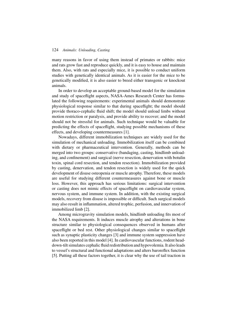#### 124 *Animals: Unloading, Casting*

many reasons in favor of using them instead of primates or rabbits: mice and rats grow fast and reproduce quickly, and it is easy to house and maintain them. Also, with rats and especially mice, it is possible to conduct uniform studies with genetically identical animals. As it is easier for the mice to be genetically modified, it is also easier to breed either transgenic or knockout animals.

In order to develop an acceptable ground-based model for the simulation and study of spaceflight aspects, NASA-Ames Research Center has formulated the following requirements: experimental animals should demonstrate physiological response similar to that during spaceflight; the model should provide thoraco-cephalic fluid shift; the model should unload limbs without motion restriction or paralysis, and provide ability to recover; and the model should not be stressful for animals. Such technique would be valuable for predicting the effects of spaceflight, studying possible mechanisms of these effects, and developing countermeasures [1].

Nowadays, different immobilization techniques are widely used for the simulation of mechanical unloading. Immobilization itself can be combined with dietary or pharmaceutical intervention. Generally, methods can be merged into two groups: conservative (bandaging, casting, hindlimb unloading, and confinement) and surgical (nerve resection, denervation with botulin toxin, spinal cord resection, and tendon resection). Immobilization provided by casting, denervation, and tendon resection is widely used for the quick development of disuse osteopenia or muscle atrophy. Therefore, these models are useful for studying different countermeasures against bone or muscle loss. However, this approach has serious limitations: surgical intervention or casting does not mimic effects of spaceflight on cardiovascular system, nervous system, and immune system. In addition, with the existing surgical models, recovery from disuse is impossible or difficult. Such surgical models may also result in inflammation, altered trophic, perfusion, and innervation of immobilized limb [2].

Among microgravity simulation models, hindlimb unloading fits most of the NASA requirements. It induces muscle atrophy and alterations in bone structure similar to physiological consequences observed in humans after spaceflight or bed rest. Other physiological changes similar to spaceflight such as synaptic plasticity changes [3] and immune system suppression have also been reported in this model [4]. In cardiovascular functions, rodent headdown-tilt simulates cephalic fluid redistribution and hypovolemia. It also leads to vessel's structural and functional adaptations and alters baroreflex function [5]. Putting all these factors together, it is clear why the use of tail traction in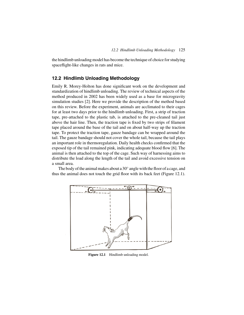the hindlimb unloading model has become the technique of choice for studying spaceflight-like changes in rats and mice.

# **12.2 Hindlimb Unloading Methodology**

Emily R. Morey-Holton has done significant work on the development and standardization of hindlimb unloading. The review of technical aspects of the method produced in 2002 has been widely used as a base for microgravity simulation studies [2]. Here we provide the description of the method based on this review. Before the experiment, animals are acclimated to their cages for at least two days prior to the hindlimb unloading. First, a strip of traction tape, pre-attached to the plastic tab, is attached to the pre-cleaned tail just above the hair line. Then, the traction tape is fixed by two strips of filament tape placed around the base of the tail and on about half-way up the traction tape. To protect the traction tape, gauze bandage can be wrapped around the tail. The gauze bandage should not cover the whole tail, because the tail plays an important role in thermoregulation. Daily health checks confirmed that the exposed tip of the tail remained pink, indicating adequate blood flow [6]. The animal is then attached to the top of the cage. Such way of harnessing aims to distribute the load along the length of the tail and avoid excessive tension on a small area.

The body of the animal makes about a  $30^\circ$  angle with the floor of a cage, and thus the animal does not touch the grid floor with its back feet (Figure 12.1).



**Figure 12.1** Hindlimb unloading model.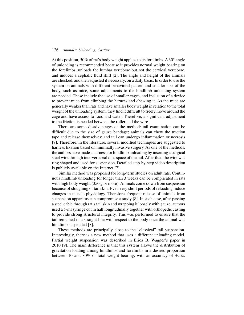#### 126 *Animals: Unloading, Casting*

At this position, 50% of rat's body weight applies to its forelimbs. A 30 $^{\circ}$  angle of unloading is recommended because it provides normal weight bearing on the forelimbs, unloads the lumbar vertebrae but not the cervical vertebrae, and induces a cephalic fluid shift [2]. The angle and height of the animals are checked, and then adjusted if necessary, on a daily basis. In order to use the system on animals with different behavioral pattern and smaller size of the body, such as mice, some adjustments to the hindlimb unloading system are needed. These include the use of smaller cages, and inclusion of a device to prevent mice from climbing the harness and chewing it. As the mice are generally weaker than rats and have smaller body weight in relation to the total weight of the unloading system, they find it difficult to freely move around the cage and have access to food and water. Therefore, a significant adjustment to the friction is needed between the roller and the wire.

There are some disadvantages of the method: tail examination can be difficult due to the size of gauze bandage; animals can chew the traction tape and release themselves; and tail can undergo inflammation or necrosis [7]. Therefore, in the literature, several modified techniques are suggested to harness fixation based on minimally invasive surgery. As one of the methods, the authors have made a harness for hindlimb unloading by inserting a surgical steel wire through intervertebral disc space of the tail. After that, the wire was ring shaped and used for suspension. Detailed step-by-step video description is publicly available on the Internet [7].

Similar method was proposed for long-term studies on adult rats. Continuous hindlimb unloading for longer than 3 weeks can be complicated in rats with high body weight (350 g or more). Animals come down from suspension because of sloughing of tail skin. Even very short periods of reloading induce changes in muscle physiology. Therefore, frequent release of animals from suspension apparatus can compromise a study [8]. In such case, after passing a steel cable through rat's tail skin and wrapping it loosely with gauze, authors used a 5-ml syringe cut in half longitudinally together with orthopedic casting to provide strong structural integrity. This was performed to ensure that the tail remained in a straight line with respect to the body once the animal was hindlimb suspended [8].

These methods are principally close to the "classical" tail suspension. Interestingly, there is a new method that uses a different unloading model. Partial weight suspension was described in Erica B. Wagner's paper in 2010 [9]. The main difference is that this system allows the distribution of gravitation loading among hindlimbs and forelimbs in a desired proportion between 10 and 80% of total weight bearing, with an accuracy of  $\pm 5\%$ .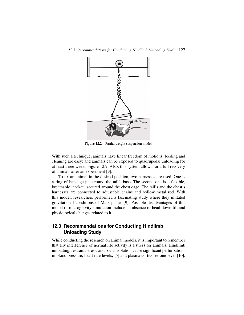

**Figure 12.2** Partial weight suspension model.

With such a technique, animals have linear freedom of motions; feeding and cleaning are easy; and animals can be exposed to quadrupedal unloading for at least three weeks Figure 12.2. Also, this system allows for a full recovery of animals after an experiment [9].

To fix an animal in the desired position, two harnesses are used. One is a ring of bandage put around the tail's base. The second one is a flexible, breathable "jacket" secured around the chest cage. The tail's and the chest's harnesses are connected to adjustable chains and hollow metal rod. With this model, researchers performed a fascinating study where they imitated gravitational conditions of Mars planet [9]. Possible disadvantages of this model of microgravity simulation include an absence of head-down-tilt and physiological changes related to it.

# **12.3 Recommendations for Conducting Hindlimb Unloading Study**

While conducting the research on animal models, it is important to remember that any interference of normal life activity is a stress for animals. Hindlimb unloading, restraint stress, and social isolation cause significant perturbations in blood pressure, heart rate levels, [5] and plasma corticosterone level [10].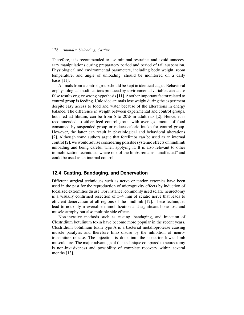#### 128 *Animals: Unloading, Casting*

Therefore, it is recommended to use minimal restraints and avoid unnecessary manipulations during preparatory period and period of tail suspension. Physiological and environmental parameters, including body weight, room temperature, and angle of unloading, should be monitored on a daily basis [11].

Animals from a control group should be kept in identical cages. Behavioral or physiological modifications produced by environmental variables can cause false results or give wrong hypothesis [11]. Another important factor related to control group is feeding. Unloaded animals lose weight during the experiment despite easy access to food and water because of the alterations in energy balance. The difference in weight between experimental and control groups, both fed ad libitum, can be from 5 to 20% in adult rats [2]. Hence, it is recommended to either feed control group with average amount of food consumed by suspended group or reduce caloric intake for control group. However, the latter can result in physiological and behavioral alterations [2]. Although some authors argue that forelimbs can be used as an internal control [2], we would advise considering possible systemic effects of hindlimb unloading and being careful when applying it. It is also relevant to other immobilization techniques where one of the limbs remains "unaffected" and could be used as an internal control.

# **12.4 Casting, Bandaging, and Denervation**

Different surgical techniques such as nerve or tendon ectomies have been used in the past for the reproduction of microgravity effects by induction of localized extremities disuse. For instance, commonly used sciatic neurectomy is a visually confirmed resection of 3–4 mm of sciatic nerve that leads to efficient denervation of all regions of the hindlimb [12]. These techniques lead to not only irreversible immobilization and significant bone loss and muscle atrophy but also multiple side effects.

Non-invasive methods such as casting, bandaging, and injection of Clostridium botulinum toxin have become more popular in the recent years. Clostridium botulinum toxin type A is a bacterial metalloprotease causing muscle paralysis and therefore limb disuse by the inhibition of neurotransmitter release. The injection is done into the posterior lower limb musculature. The major advantage of this technique compared to neurectomy is non-invasiveness and possibility of complete recovery within several months [13].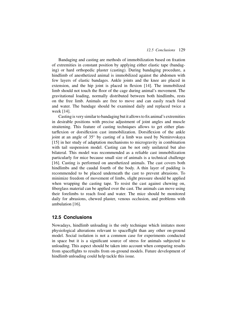Bandaging and casting are methods of immobilization based on fixation of extremities in constant position by applying either elastic tape (bandaging) or hard orthopedic plaster (casting). During bandaging procedure, a hindlimb of anesthetized animal is immobilized against the abdomen with few layers of elastic bandages. Ankle joints and the knee are placed in extension, and the hip joint is placed in flexion [14]. The immobilized limb should not touch the floor of the cage during animal's movement. The gravitational loading, normally distributed between both hindlimbs, rests on the free limb. Animals are free to move and can easily reach food and water. The bandage should be examined daily and replaced twice a week [14].

Casting is very similar to bandaging but it allows to fix animal's extremities in desirable positions with precise adjustment of joint angles and muscle straitening. This feature of casting techniques allows to get either plantarflexion or dorsiflexion cast immobilization. Dorsiflexion of the ankle joint at an angle of 35◦ by casting of a limb was used by Nemirovskaya [15] in her study of adaptation mechanisms to microgravity in combination with tail suspension model. Casting can be not only unilateral but also bilateral. This model was recommended as a reliable cast immobilization particularly for mice because small size of animals is a technical challenge [16]. Casting is performed on anesthetized animals. The cast covers both hindlimbs and the caudal fourth of the body. A thin layer of padding is recommended to be placed underneath the cast to prevent abrasions. To minimize freedom of movement of limbs, slight pressure should be applied when wrapping the casting tape. To resist the cast against chewing on, fiberglass material can be applied over the cast. The animals can move using their forelimbs to reach food and water. The mice should be monitored daily for abrasions, chewed plaster, venous occlusion, and problems with ambulation [16].

## **12.5 Conclusions**

Nowadays, hindlimb unloading is the only technique which imitates more physiological alterations relevant to spaceflight than any other on-ground model. Social isolation is not a common case for experiments conducted in space but it is a significant source of stress for animals subjected to unloading. This aspect should be taken into account when comparing results from spaceflights to results from on-ground models. Future development of hindlimb unloading could help tackle this issue.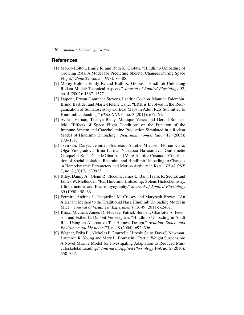#### **References**

- [1] Morey-Holton, Emily R. and Ruth K. Globus. "Hindlimb Unloading of Growing Rats: A Model for Predicting Skeletal Changes During Space Flight." *Bone* 22, no. 5 (1998): 83–88.
- [2] Morey-Holton, Emily R. and Ruth K. Globus. "Hindlimb Unloading Rodent Model: Technical Aspects." *Journal of Applied Physiology* 92, no. 4 (2002): 1367–1377.
- [3] Dupont, Erwan, Laurence Stevens, Laetitia Cochon, Maurice Falempin, Bruno Bastide, and Marie-Helene Canu. "ERK is Involved in the Reorganization of Somatosensory Cortical Maps in Adult Rats Submitted to Hindlimb Unloading." *PLoS ONE* 6, no. 3 (2011): e17564.
- [4] Aviles, Hernan, Tesfaye Belay, Monique Vance and Gerald Sonnenfeld. "Effects of Space Flight Conditions on the Function of the Immune System and Catecholamine Production Simulated in a Rodent Model of Hindlimb Unloading." *Neuroimmunomodulation* 12 (2005): 173–181.
- [5] Tsvirkun, Darya, Jennifer Bourreau, Aurélie Mieuset, Florian Garo, Olga Vinogradova, Irina Larina, Nastassia Navasiolava, Guillemette Gauquelin-Koch, Claude Gharib and Marc-Antoine Custaud. "Contribution of Social Isolation, Restraint, and Hindlimb Unloading to Changes in Hemodynamic Parameters and Motion Activity in Rats." *PLoS ONE* 7, no. 7 (2012): e39923.
- [6] Riley, Danny A., Glenn R. Slocum, James L. Bain, Frank R. Sedlak and James W. Mellender. "Rat Hindlimb Unloading: Soleus Histochemistry, Ultrastructure, and Electromyography." *Journal of Applied Physiology* 69 (1990): 58–66.
- [7] Ferreira, Andries J., Jacqueline M. Crissey and Marybeth Brown. "An Alternant Method to the Traditional Nasa Hindlimb Unloading Model in Mice." *Journal of Visualized Experiments* no. 49 (2011): e2467.
- [8] Knox, Micheal, James D. Fluckey, Patrick Bennett, Charlotte A. Peterson and Esther E. Dupont-Versteegden. "Hindlimb Unloading in Adult Rats Using an Alternative Tail Harness Design." *Aviation, Space, and Environmental Medicine* 75, no. 8 (2004): 692–696.
- [9] Wagner, Erika B., Nicholas P. Granzella, Hiroaki Saito, Dava J. Newman, Laurence R. Young and Mary L. Bouxsein. "Partial Weight Suspension: A Novel Murine Model for Investigating Adaptation to Reduced Musculoskeletal Loading." *Journal of Applied Physiology* 109, no. 2 (2010): 350–357.